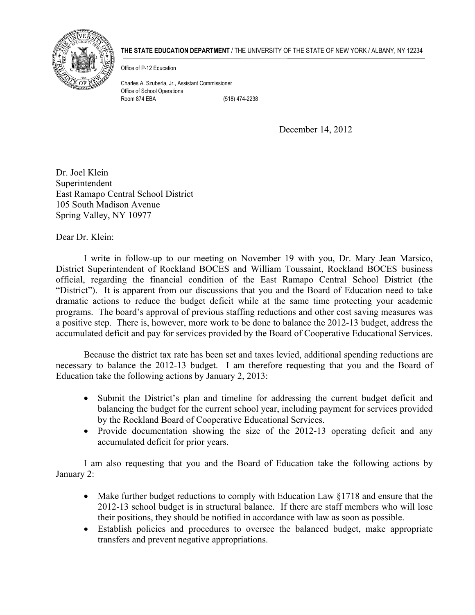

## **THE STATE EDUCATION DEPARTMENT** / THE UNIVERSITY OF THE STATE OF NEW YORK / ALBANY, NY 12234

Office of P-12 Education

Charles A. Szuberla, Jr., Assistant Commissioner Office of School Operations Room 874 EBA (518) 474-2238

December 14, 2012

Dr. Joel Klein Superintendent East Ramapo Central School District 105 South Madison Avenue Spring Valley, NY 10977

Dear Dr. Klein<sup>.</sup>

 I write in follow-up to our meeting on November 19 with you, Dr. Mary Jean Marsico, District Superintendent of Rockland BOCES and William Toussaint, Rockland BOCES business official, regarding the financial condition of the East Ramapo Central School District (the "District"). It is apparent from our discussions that you and the Board of Education need to take dramatic actions to reduce the budget deficit while at the same time protecting your academic programs. The board's approval of previous staffing reductions and other cost saving measures was a positive step. There is, however, more work to be done to balance the 2012-13 budget, address the accumulated deficit and pay for services provided by the Board of Cooperative Educational Services.

 Because the district tax rate has been set and taxes levied, additional spending reductions are necessary to balance the 2012-13 budget. I am therefore requesting that you and the Board of Education take the following actions by January 2, 2013:

- Submit the District's plan and timeline for addressing the current budget deficit and balancing the budget for the current school year, including payment for services provided by the Rockland Board of Cooperative Educational Services.
- Provide documentation showing the size of the  $2012-13$  operating deficit and any accumulated deficit for prior years.

 I am also requesting that you and the Board of Education take the following actions by January 2:

- Make further budget reductions to comply with Education Law  $\S1718$  and ensure that the 2012-13 school budget is in structural balance. If there are staff members who will lose their positions, they should be notified in accordance with law as soon as possible.
- Establish policies and procedures to oversee the balanced budget, make appropriate transfers and prevent negative appropriations.